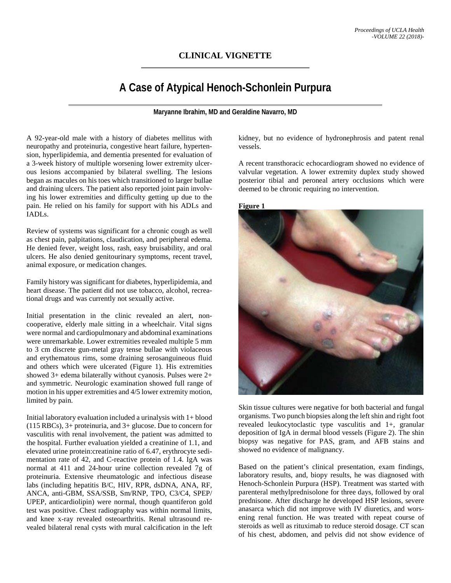# **CLINICAL VIGNETTE**

# **A Case of Atypical Henoch-Schonlein Purpura**

**Maryanne Ibrahim, MD and Geraldine Navarro, MD**

A 92-year-old male with a history of diabetes mellitus with neuropathy and proteinuria, congestive heart failure, hypertension, hyperlipidemia, and dementia presented for evaluation of a 3-week history of multiple worsening lower extremity ulcerous lesions accompanied by bilateral swelling. The lesions began as macules on his toes which transitioned to larger bullae and draining ulcers. The patient also reported joint pain involving his lower extremities and difficulty getting up due to the pain. He relied on his family for support with his ADLs and IADLs.

Review of systems was significant for a chronic cough as well as chest pain, palpitations, claudication, and peripheral edema. He denied fever, weight loss, rash, easy bruisability, and oral ulcers. He also denied genitourinary symptoms, recent travel, animal exposure, or medication changes.

Family history was significant for diabetes, hyperlipidemia, and heart disease. The patient did not use tobacco, alcohol, recreational drugs and was currently not sexually active.

Initial presentation in the clinic revealed an alert, noncooperative, elderly male sitting in a wheelchair. Vital signs were normal and cardiopulmonary and abdominal examinations were unremarkable. Lower extremities revealed multiple 5 mm to 3 cm discrete gun-metal gray tense bullae with violaceous and erythematous rims, some draining serosanguineous fluid and others which were ulcerated (Figure 1). His extremities showed 3+ edema bilaterally without cyanosis. Pulses were 2+ and symmetric. Neurologic examination showed full range of motion in his upper extremities and 4/5 lower extremity motion, limited by pain.

Initial laboratory evaluation included a urinalysis with 1+ blood (115 RBCs), 3+ proteinuria, and 3+ glucose. Due to concern for vasculitis with renal involvement, the patient was admitted to the hospital. Further evaluation yielded a creatinine of 1.1, and elevated urine protein:creatinine ratio of 6.47, erythrocyte sedimentation rate of 42, and C-reactive protein of 1.4. IgA was normal at 411 and 24-hour urine collection revealed 7g of proteinuria. Extensive rheumatologic and infectious disease labs (including hepatitis B/C, HIV, RPR, dsDNA, ANA, RF, ANCA, anti-GBM, SSA/SSB, Sm/RNP, TPO, C3/C4, SPEP/ UPEP, anticardiolipin) were normal, though quantiferon gold test was positive. Chest radiography was within normal limits, and knee x-ray revealed osteoarthritis. Renal ultrasound revealed bilateral renal cysts with mural calcification in the left kidney, but no evidence of hydronephrosis and patent renal vessels.

A recent transthoracic echocardiogram showed no evidence of valvular vegetation. A lower extremity duplex study showed posterior tibial and peroneal artery occlusions which were deemed to be chronic requiring no intervention.

#### **Figure 1**



Skin tissue cultures were negative for both bacterial and fungal organisms. Two punch biopsies along the left shin and right foot revealed leukocytoclastic type vasculitis and 1+, granular deposition of IgA in dermal blood vessels (Figure 2). The shin biopsy was negative for PAS, gram, and AFB stains and showed no evidence of malignancy.

Based on the patient's clinical presentation, exam findings, laboratory results, and, biopy results, he was diagnosed with Henoch-Schonlein Purpura (HSP). Treatment was started with parenteral methylprednisolone for three days, followed by oral prednisone. After discharge he developed HSP lesions, severe anasarca which did not improve with IV diuretics, and worsening renal function. He was treated with repeat course of steroids as well as rituximab to reduce steroid dosage. CT scan of his chest, abdomen, and pelvis did not show evidence of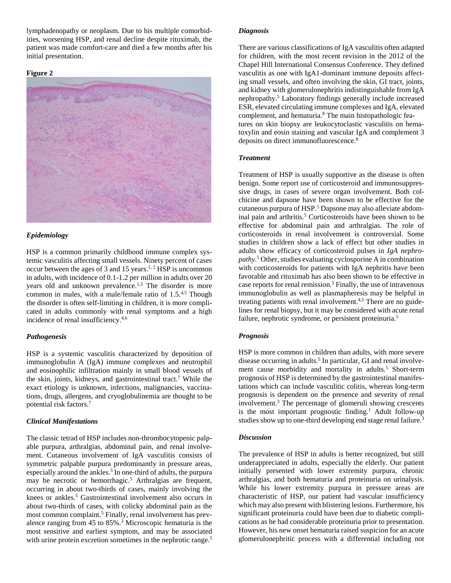lymphadenopathy or neoplasm. Due to his multiple comorbidities, worsening HSP, and renal decline despite rituximab, the patient was made comfort-care and died a few months after his initial presentation.

#### **Figure 2**



### *Epidemiology*

HSP is a common primarily childhood immune complex systemic vasculitis affecting small vessels. Ninety percent of cases occur between the ages of 3 and 15 years.<sup>1, 2</sup> HSP is uncommon in adults, with incidence of 0.1-1.2 per million in adults over 20 years old and unknown prevalence.<sup>1,3</sup> The disorder is more common in males, with a male/female ratio of 1.5.4,5 Though the disorder is often self-limiting in children, it is more complicated in adults commonly with renal symptoms and a high incidence of renal insufficiency.4,6

#### *Pathogenesis*

HSP is a systemic vasculitis characterized by deposition of immunoglobulin A (IgA) immune complexes and neutrophil and eosinophilic infiltration mainly in small blood vessels of the skin, joints, kidneys, and gastrointestinal tract. <sup>7</sup> While the exact etiology is unknown, infections, malignancies, vaccinations, drugs, allergens, and cryoglobulinemia are thought to be potential risk factors. 7

#### *Clinical Manifestations*

The classic tetrad of HSP includes non-thrombocytopenic palpable purpura, arthralgias, abdominal pain, and renal involvement. Cutaneous involvement of IgA vasculitis consists of symmetric palpable purpura predominantly in pressure areas, especially around the ankles.<sup>5</sup> In one-third of adults, the purpura may be necrotic or hemorrhagic.<sup>5</sup> Arthralgias are frequent, occurring in about two-thirds of cases, mainly involving the knees or ankles.<sup>5</sup> Gastrointestinal involvement also occurs in about two-thirds of cases, with colicky abdominal pain as the most common complaint.<sup>5</sup> Finally, renal involvement has prevalence ranging from 45 to 85%.3 Microscopic hematuria is the most sensitive and earliest symptom, and may be associated with urine protein excretion sometimes in the nephrotic range.<sup>5</sup>

#### *Diagnosis*

There are various classifications of IgA vasculitis often adapted for children, with the most recent revision in the 2012 of the Chapel Hill International Consensus Conference. They defined vasculitis as one with IgA1-dominant immune deposits affecting small vessels, and often involving the skin, GI tract, joints, and kidney with glomerulonephritis indistinguishable from IgA nephropathy.5 Laboratory findings generally include increased ESR, elevated circulating immune complexes and IgA, elevated complement, and hematuria.8 The main histopathologic features on skin biopsy are leukocytoclastic vasculitis on hematoxylin and eosin staining and vascular IgA and complement 3 deposits on direct immunofluorescence.8

## *Treatment*

Treatment of HSP is usually supportive as the disease is often benign. Some report use of corticosteroid and immunosuppressive drugs, in cases of severe organ involvement. Both colchicine and dapsone have been shown to be effective for the cutaneous purpura of HSP. <sup>5</sup> Dapsone may also alleviate abdominal pain and arthritis.<sup>5</sup> Corticosteroids have been shown to be effective for abdominal pain and arthralgias. The role of corticosteroids in renal involvement is controversial. Some studies in children show a lack of effect but other studies in adults show efficacy of corticosteroid pulses in *IgA nephropathy*. <sup>5</sup> Other, studies evaluating cyclosporine A in combination with corticosteroids for patients with IgA nephritis have been favorable and rituximab has also been shown to be effective in case reports for renal remission.<sup>5</sup> Finally, the use of intravenous immunoglobulin as well as plasmapheresis may be helpful in treating patients with renal involvement.4,5 There are no guidelines for renal biopsy, but it may be considered with acute renal failure, nephrotic syndrome, or persistent proteinuria.<sup>5</sup>

# *Prognosis*

HSP is more common in children than adults, with more severe disease occurring in adults.<sup>5</sup> In particular, GI and renal involvement cause morbidity and mortality in adults.<sup>5</sup> Short-term prognosis of HSP is determined by the gastrointestinal manifestations which can include vasculitic colitis, whereas long-term prognosis is dependent on the presence and severity of renal involvement. <sup>3</sup> The percentage of glomeruli showing crescents is the most important prognostic finding. <sup>1</sup> Adult follow-up studies show up to one-third developing end stage renal failure.<sup>3</sup>

#### *Discussion*

The prevalence of HSP in adults is better recognized, but still underappreciated in adults, especially the elderly. Our patient initially presented with lower extremity purpura, chronic arthralgias, and both hematuria and proteinuria on urinalysis. While his lower extremity purpura in pressure areas are characteristic of HSP, our patient had vascular insufficiency which may also present with blistering lesions. Furthermore, his significant proteinuria could have been due to diabetic complications as he had considerable proteinuria prior to presentation. However, his new onset hematuria raised suspicion for an acute glomerulonephritic process with a differential including not